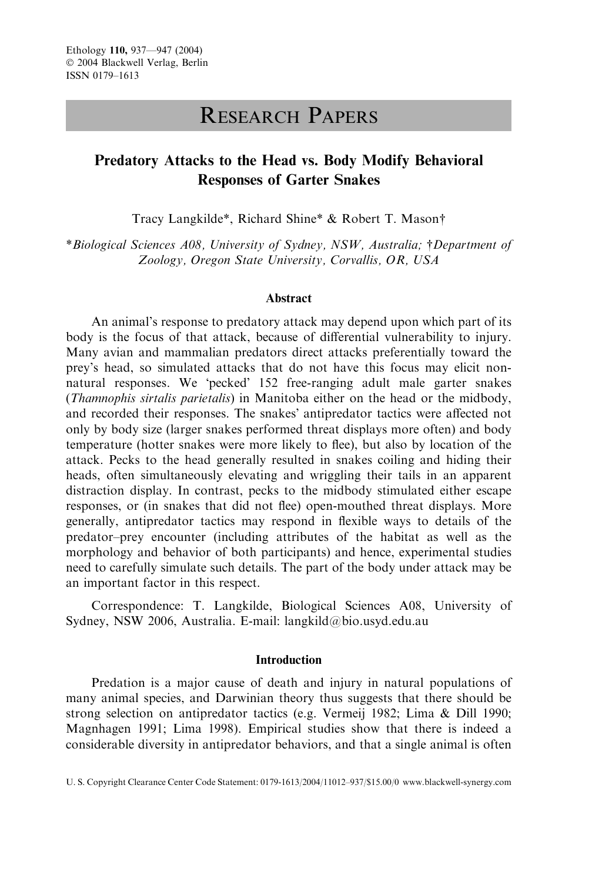# Research Papers

# Predatory Attacks to the Head vs. Body Modify Behavioral Responses of Garter Snakes

Tracy Langkilde\*, Richard Shine\* & Robert T. Mason

\*Biological Sciences A08, University of Sydney, NSW, Australia; †Department of Zoology, Oregon State University, Corvallis, OR, USA

#### Abstract

An animal's response to predatory attack may depend upon which part of its body is the focus of that attack, because of differential vulnerability to injury. Many avian and mammalian predators direct attacks preferentially toward the prey's head, so simulated attacks that do not have this focus may elicit nonnatural responses. We 'pecked' 152 free-ranging adult male garter snakes (Thamnophis sirtalis parietalis) in Manitoba either on the head or the midbody, and recorded their responses. The snakes' antipredator tactics were affected not only by body size (larger snakes performed threat displays more often) and body temperature (hotter snakes were more likely to flee), but also by location of the attack. Pecks to the head generally resulted in snakes coiling and hiding their heads, often simultaneously elevating and wriggling their tails in an apparent distraction display. In contrast, pecks to the midbody stimulated either escape responses, or (in snakes that did not flee) open-mouthed threat displays. More generally, antipredator tactics may respond in flexible ways to details of the predator–prey encounter (including attributes of the habitat as well as the morphology and behavior of both participants) and hence, experimental studies need to carefully simulate such details. The part of the body under attack may be an important factor in this respect.

Correspondence: T. Langkilde, Biological Sciences A08, University of Sydney, NSW 2006, Australia. E-mail: langkild@bio.usyd.edu.au

## **Introduction**

Predation is a major cause of death and injury in natural populations of many animal species, and Darwinian theory thus suggests that there should be strong selection on antipredator tactics (e.g. Vermeij 1982; Lima & Dill 1990; Magnhagen 1991; Lima 1998). Empirical studies show that there is indeed a considerable diversity in antipredator behaviors, and that a single animal is often

U. S. Copyright Clearance Center Code Statement: 0179-1613/2004/11012–937/\$15.00/0 www.blackwell-synergy.com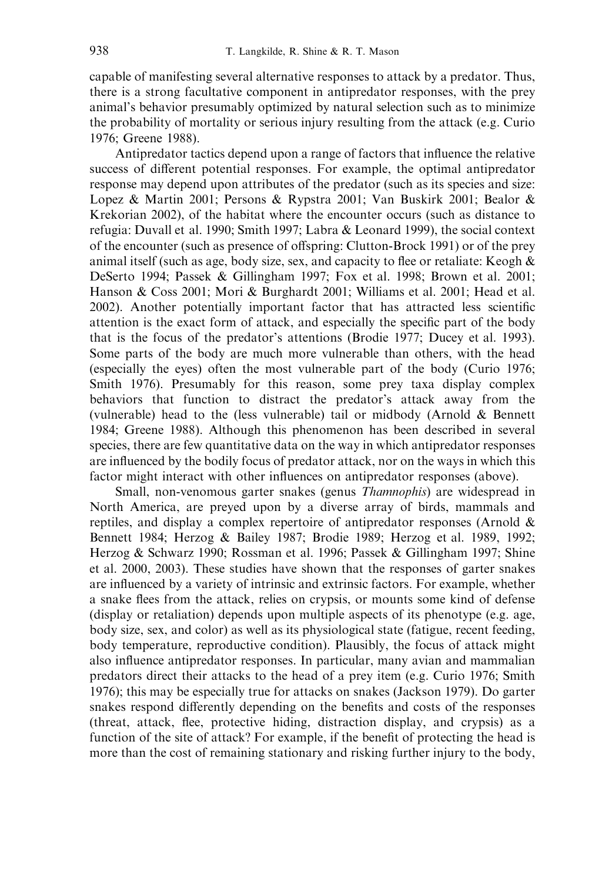capable of manifesting several alternative responses to attack by a predator. Thus, there is a strong facultative component in antipredator responses, with the prey animal's behavior presumably optimized by natural selection such as to minimize the probability of mortality or serious injury resulting from the attack (e.g. Curio 1976; Greene 1988).

Antipredator tactics depend upon a range of factors that influence the relative success of different potential responses. For example, the optimal antipredator response may depend upon attributes of the predator (such as its species and size: Lopez & Martin 2001; Persons & Rypstra 2001; Van Buskirk 2001; Bealor & Krekorian 2002), of the habitat where the encounter occurs (such as distance to refugia: Duvall et al. 1990; Smith 1997; Labra & Leonard 1999), the social context of the encounter (such as presence of offspring: Clutton-Brock 1991) or of the prey animal itself (such as age, body size, sex, and capacity to flee or retaliate: Keogh  $\&$ DeSerto 1994; Passek & Gillingham 1997; Fox et al. 1998; Brown et al. 2001; Hanson & Coss 2001; Mori & Burghardt 2001; Williams et al. 2001; Head et al. 2002). Another potentially important factor that has attracted less scientific attention is the exact form of attack, and especially the specific part of the body that is the focus of the predator's attentions (Brodie 1977; Ducey et al. 1993). Some parts of the body are much more vulnerable than others, with the head (especially the eyes) often the most vulnerable part of the body (Curio 1976; Smith 1976). Presumably for this reason, some prey taxa display complex behaviors that function to distract the predator's attack away from the (vulnerable) head to the (less vulnerable) tail or midbody (Arnold & Bennett 1984; Greene 1988). Although this phenomenon has been described in several species, there are few quantitative data on the way in which antipredator responses are influenced by the bodily focus of predator attack, nor on the ways in which this factor might interact with other influences on antipredator responses (above).

Small, non-venomous garter snakes (genus Thamnophis) are widespread in North America, are preyed upon by a diverse array of birds, mammals and reptiles, and display a complex repertoire of antipredator responses (Arnold & Bennett 1984; Herzog & Bailey 1987; Brodie 1989; Herzog et al. 1989, 1992; Herzog & Schwarz 1990; Rossman et al. 1996; Passek & Gillingham 1997; Shine et al. 2000, 2003). These studies have shown that the responses of garter snakes are influenced by a variety of intrinsic and extrinsic factors. For example, whether a snake flees from the attack, relies on crypsis, or mounts some kind of defense (display or retaliation) depends upon multiple aspects of its phenotype (e.g. age, body size, sex, and color) as well as its physiological state (fatigue, recent feeding, body temperature, reproductive condition). Plausibly, the focus of attack might also influence antipredator responses. In particular, many avian and mammalian predators direct their attacks to the head of a prey item (e.g. Curio 1976; Smith 1976); this may be especially true for attacks on snakes (Jackson 1979). Do garter snakes respond differently depending on the benefits and costs of the responses (threat, attack, flee, protective hiding, distraction display, and crypsis) as a function of the site of attack? For example, if the benefit of protecting the head is more than the cost of remaining stationary and risking further injury to the body,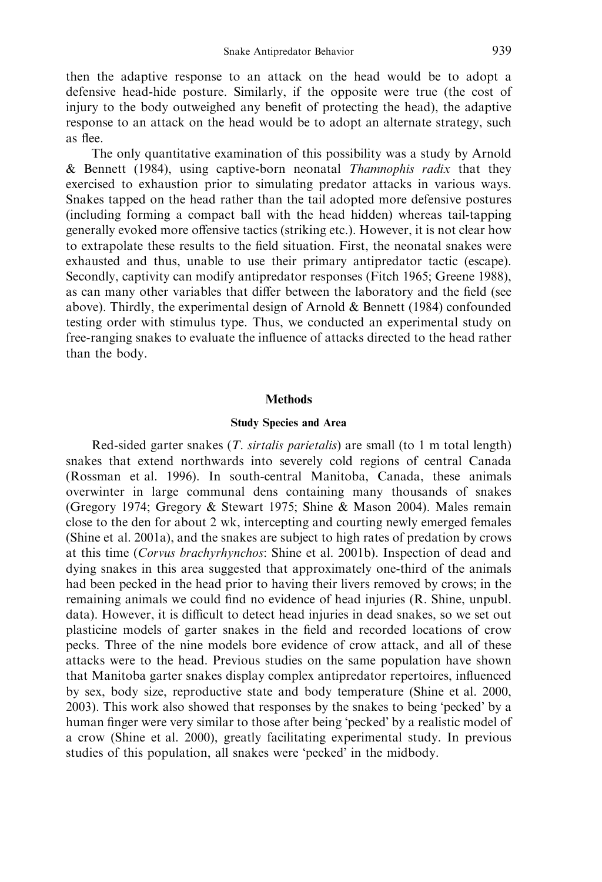then the adaptive response to an attack on the head would be to adopt a defensive head-hide posture. Similarly, if the opposite were true (the cost of injury to the body outweighed any benefit of protecting the head), the adaptive response to an attack on the head would be to adopt an alternate strategy, such as flee.

The only quantitative examination of this possibility was a study by Arnold & Bennett (1984), using captive-born neonatal Thamnophis radix that they exercised to exhaustion prior to simulating predator attacks in various ways. Snakes tapped on the head rather than the tail adopted more defensive postures (including forming a compact ball with the head hidden) whereas tail-tapping generally evoked more offensive tactics (striking etc.). However, it is not clear how to extrapolate these results to the field situation. First, the neonatal snakes were exhausted and thus, unable to use their primary antipredator tactic (escape). Secondly, captivity can modify antipredator responses (Fitch 1965; Greene 1988), as can many other variables that differ between the laboratory and the field (see above). Thirdly, the experimental design of Arnold & Bennett (1984) confounded testing order with stimulus type. Thus, we conducted an experimental study on free-ranging snakes to evaluate the influence of attacks directed to the head rather than the body.

#### Methods

#### Study Species and Area

Red-sided garter snakes (T. sirtalis parietalis) are small (to 1 m total length) snakes that extend northwards into severely cold regions of central Canada (Rossman et al. 1996). In south-central Manitoba, Canada, these animals overwinter in large communal dens containing many thousands of snakes (Gregory 1974; Gregory & Stewart 1975; Shine & Mason 2004). Males remain close to the den for about 2 wk, intercepting and courting newly emerged females (Shine et al. 2001a), and the snakes are subject to high rates of predation by crows at this time (Corvus brachyrhynchos: Shine et al. 2001b). Inspection of dead and dying snakes in this area suggested that approximately one-third of the animals had been pecked in the head prior to having their livers removed by crows; in the remaining animals we could find no evidence of head injuries (R. Shine, unpubl. data). However, it is difficult to detect head injuries in dead snakes, so we set out plasticine models of garter snakes in the field and recorded locations of crow pecks. Three of the nine models bore evidence of crow attack, and all of these attacks were to the head. Previous studies on the same population have shown that Manitoba garter snakes display complex antipredator repertoires, influenced by sex, body size, reproductive state and body temperature (Shine et al. 2000, 2003). This work also showed that responses by the snakes to being 'pecked' by a human finger were very similar to those after being 'pecked' by a realistic model of a crow (Shine et al. 2000), greatly facilitating experimental study. In previous studies of this population, all snakes were 'pecked' in the midbody.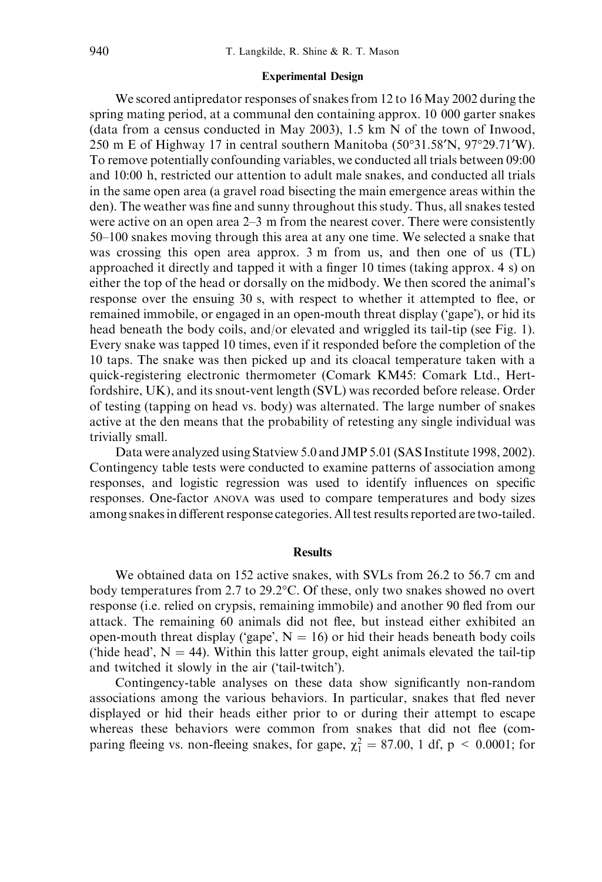#### Experimental Design

We scored antipredator responses of snakes from 12 to 16 May 2002 during the spring mating period, at a communal den containing approx. 10 000 garter snakes (data from a census conducted in May 2003), 1.5 km N of the town of Inwood, 250 m E of Highway 17 in central southern Manitoba  $(50°31.58'N, 97°29.71'W)$ . To remove potentially confounding variables, we conducted all trials between 09:00 and 10:00 h, restricted our attention to adult male snakes, and conducted all trials in the same open area (a gravel road bisecting the main emergence areas within the den). The weather was fine and sunny throughout this study. Thus, all snakes tested were active on an open area 2–3 m from the nearest cover. There were consistently 50–100 snakes moving through this area at any one time. We selected a snake that was crossing this open area approx. 3 m from us, and then one of us (TL) approached it directly and tapped it with a finger 10 times (taking approx. 4 s) on either the top of the head or dorsally on the midbody. We then scored the animal's response over the ensuing 30 s, with respect to whether it attempted to flee, or remained immobile, or engaged in an open-mouth threat display ('gape'), or hid its head beneath the body coils, and/or elevated and wriggled its tail-tip (see Fig. 1). Every snake was tapped 10 times, even if it responded before the completion of the 10 taps. The snake was then picked up and its cloacal temperature taken with a quick-registering electronic thermometer (Comark KM45: Comark Ltd., Hertfordshire, UK), and its snout-vent length (SVL) was recorded before release. Order of testing (tapping on head vs. body) was alternated. The large number of snakes active at the den means that the probability of retesting any single individual was trivially small.

Data were analyzed using Statview 5.0 and JMP 5.01 (SAS Institute 1998, 2002). Contingency table tests were conducted to examine patterns of association among responses, and logistic regression was used to identify influences on specific responses. One-factor anova was used to compare temperatures and body sizes among snakes in different response categories. All test results reported are two-tailed.

#### **Results**

We obtained data on 152 active snakes, with SVLs from 26.2 to 56.7 cm and body temperatures from 2.7 to 29.2 °C. Of these, only two snakes showed no overt response (i.e. relied on crypsis, remaining immobile) and another 90 fled from our attack. The remaining 60 animals did not flee, but instead either exhibited an open-mouth threat display ('gape',  $N = 16$ ) or hid their heads beneath body coils ('hide head',  $N = 44$ ). Within this latter group, eight animals elevated the tail-tip and twitched it slowly in the air ('tail-twitch').

Contingency-table analyses on these data show significantly non-random associations among the various behaviors. In particular, snakes that fled never displayed or hid their heads either prior to or during their attempt to escape whereas these behaviors were common from snakes that did not flee (comparing fleeing vs. non-fleeing snakes, for gape,  $\chi_1^2 = 87.00$ , 1 df, p < 0.0001; for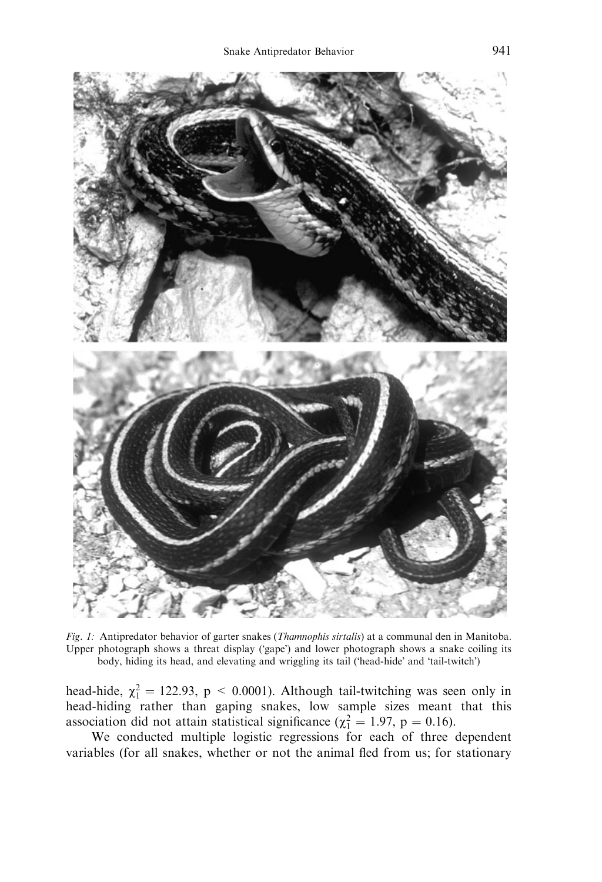

Fig. 1: Antipredator behavior of garter snakes (Thamnophis sirtalis) at a communal den in Manitoba. Upper photograph shows a threat display ('gape') and lower photograph shows a snake coiling its body, hiding its head, and elevating and wriggling its tail ('head-hide' and 'tail-twitch')

head-hide,  $\chi_1^2 = 122.93$ , p < 0.0001). Although tail-twitching was seen only in head-hiding rather than gaping snakes, low sample sizes meant that this association did not attain statistical significance ( $\chi_1^2 = 1.97$ , p = 0.16).

We conducted multiple logistic regressions for each of three dependent variables (for all snakes, whether or not the animal fled from us; for stationary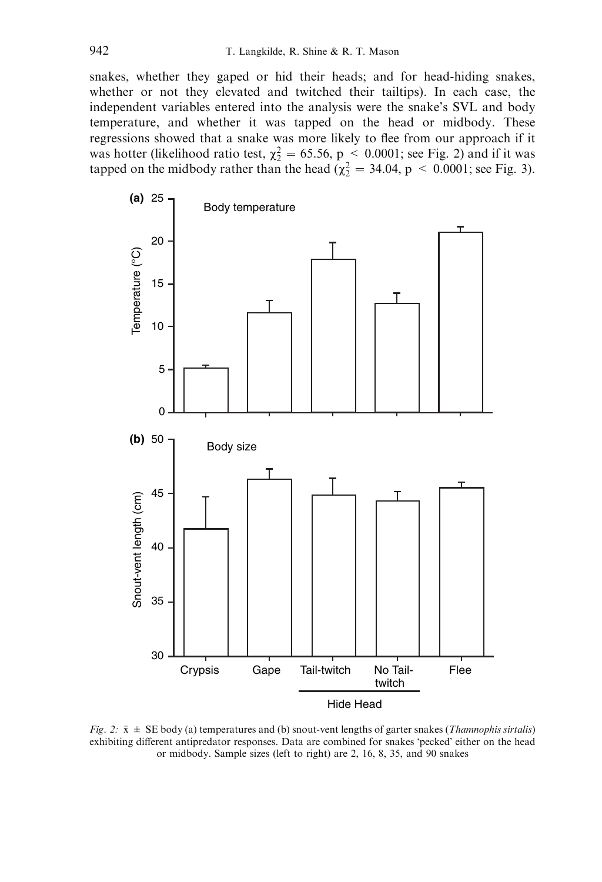snakes, whether they gaped or hid their heads; and for head-hiding snakes, whether or not they elevated and twitched their tailtips). In each case, the independent variables entered into the analysis were the snake's SVL and body temperature, and whether it was tapped on the head or midbody. These regressions showed that a snake was more likely to flee from our approach if it was hotter (likelihood ratio test,  $\chi^2$  = 65.56, p < 0.0001; see Fig. 2) and if it was tapped on the midbody rather than the head ( $\chi^2$  = 34.04, p < 0.0001; see Fig. 3).



Fig. 2:  $\bar{x} \pm \text{SE}$  body (a) temperatures and (b) snout-vent lengths of garter snakes (Thamnophis sirtalis) exhibiting different antipredator responses. Data are combined for snakes 'pecked' either on the head or midbody. Sample sizes (left to right) are 2, 16, 8, 35, and 90 snakes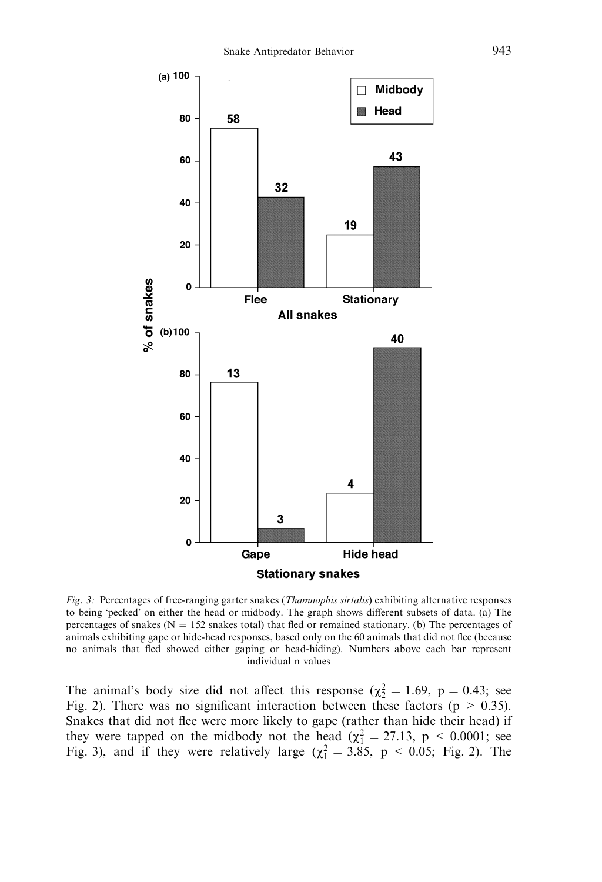

Fig. 3: Percentages of free-ranging garter snakes (*Thamnophis sirtalis*) exhibiting alternative responses to being 'pecked' on either the head or midbody. The graph shows different subsets of data. (a) The percentages of snakes ( $N = 152$  snakes total) that fled or remained stationary. (b) The percentages of animals exhibiting gape or hide-head responses, based only on the 60 animals that did not flee (because no animals that fled showed either gaping or head-hiding). Numbers above each bar represent individual n values

The animal's body size did not affect this response ( $\chi^2$  = 1.69, p = 0.43; see Fig. 2). There was no significant interaction between these factors ( $p > 0.35$ ). Snakes that did not flee were more likely to gape (rather than hide their head) if they were tapped on the midbody not the head ( $\chi_1^2 = 27.13$ , p < 0.0001; see Fig. 3), and if they were relatively large ( $\chi_1^2 = 3.85$ , p < 0.05; Fig. 2). The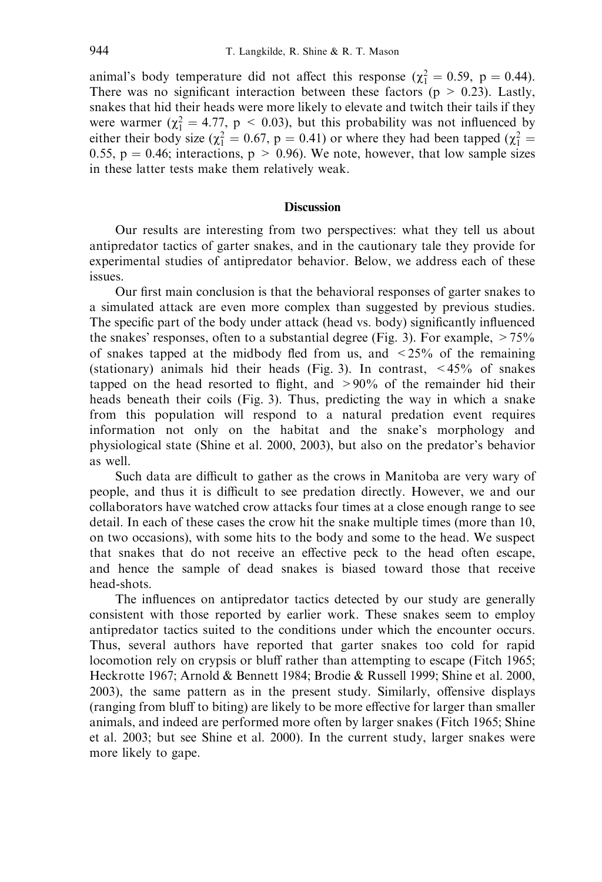animal's body temperature did not affect this response ( $\chi^2$  = 0.59, p = 0.44). There was no significant interaction between these factors ( $p > 0.23$ ). Lastly, snakes that hid their heads were more likely to elevate and twitch their tails if they were warmer ( $\chi_1^2 = 4.77$ , p < 0.03), but this probability was not influenced by either their body size ( $\chi_1^2 = 0.67$ , p = 0.41) or where they had been tapped ( $\chi_1^2 =$ 0.55,  $p = 0.46$ ; interactions,  $p > 0.96$ ). We note, however, that low sample sizes in these latter tests make them relatively weak.

#### **Discussion**

Our results are interesting from two perspectives: what they tell us about antipredator tactics of garter snakes, and in the cautionary tale they provide for experimental studies of antipredator behavior. Below, we address each of these issues.

Our first main conclusion is that the behavioral responses of garter snakes to a simulated attack are even more complex than suggested by previous studies. The specific part of the body under attack (head vs. body) significantly influenced the snakes' responses, often to a substantial degree (Fig. 3). For example,  $>75\%$ of snakes tapped at the midbody fled from us, and  $\leq 25\%$  of the remaining (stationary) animals hid their heads (Fig. 3). In contrast,  $\leq 45\%$  of snakes tapped on the head resorted to flight, and >90% of the remainder hid their heads beneath their coils (Fig. 3). Thus, predicting the way in which a snake from this population will respond to a natural predation event requires information not only on the habitat and the snake's morphology and physiological state (Shine et al. 2000, 2003), but also on the predator's behavior as well.

Such data are difficult to gather as the crows in Manitoba are very wary of people, and thus it is difficult to see predation directly. However, we and our collaborators have watched crow attacks four times at a close enough range to see detail. In each of these cases the crow hit the snake multiple times (more than 10, on two occasions), with some hits to the body and some to the head. We suspect that snakes that do not receive an effective peck to the head often escape, and hence the sample of dead snakes is biased toward those that receive head-shots.

The influences on antipredator tactics detected by our study are generally consistent with those reported by earlier work. These snakes seem to employ antipredator tactics suited to the conditions under which the encounter occurs. Thus, several authors have reported that garter snakes too cold for rapid locomotion rely on crypsis or bluff rather than attempting to escape (Fitch 1965; Heckrotte 1967; Arnold & Bennett 1984; Brodie & Russell 1999; Shine et al. 2000, 2003), the same pattern as in the present study. Similarly, offensive displays (ranging from bluff to biting) are likely to be more effective for larger than smaller animals, and indeed are performed more often by larger snakes (Fitch 1965; Shine et al. 2003; but see Shine et al. 2000). In the current study, larger snakes were more likely to gape.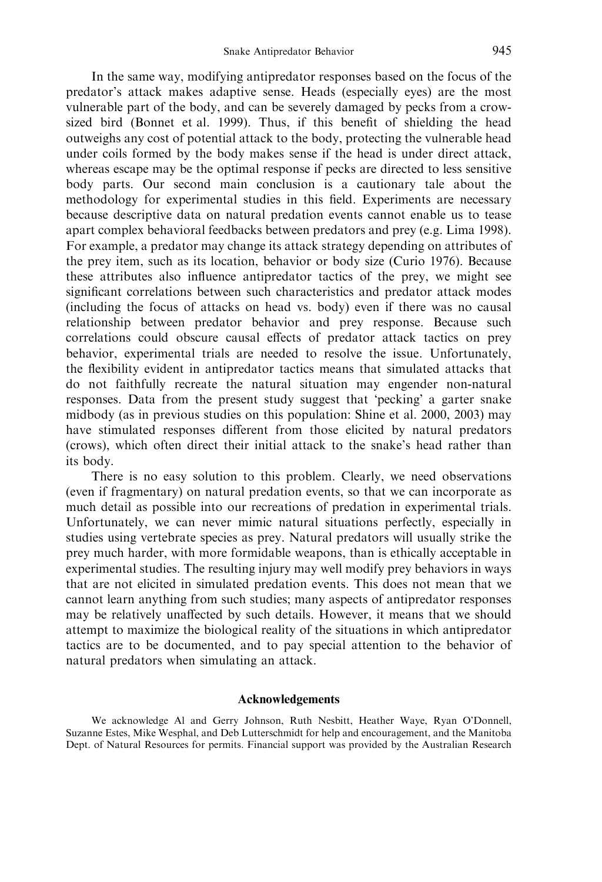In the same way, modifying antipredator responses based on the focus of the predator's attack makes adaptive sense. Heads (especially eyes) are the most vulnerable part of the body, and can be severely damaged by pecks from a crowsized bird (Bonnet et al. 1999). Thus, if this benefit of shielding the head outweighs any cost of potential attack to the body, protecting the vulnerable head under coils formed by the body makes sense if the head is under direct attack, whereas escape may be the optimal response if pecks are directed to less sensitive body parts. Our second main conclusion is a cautionary tale about the methodology for experimental studies in this field. Experiments are necessary because descriptive data on natural predation events cannot enable us to tease apart complex behavioral feedbacks between predators and prey (e.g. Lima 1998). For example, a predator may change its attack strategy depending on attributes of the prey item, such as its location, behavior or body size (Curio 1976). Because these attributes also influence antipredator tactics of the prey, we might see significant correlations between such characteristics and predator attack modes (including the focus of attacks on head vs. body) even if there was no causal relationship between predator behavior and prey response. Because such correlations could obscure causal effects of predator attack tactics on prey behavior, experimental trials are needed to resolve the issue. Unfortunately, the flexibility evident in antipredator tactics means that simulated attacks that do not faithfully recreate the natural situation may engender non-natural responses. Data from the present study suggest that 'pecking' a garter snake midbody (as in previous studies on this population: Shine et al. 2000, 2003) may have stimulated responses different from those elicited by natural predators (crows), which often direct their initial attack to the snake's head rather than its body.

There is no easy solution to this problem. Clearly, we need observations (even if fragmentary) on natural predation events, so that we can incorporate as much detail as possible into our recreations of predation in experimental trials. Unfortunately, we can never mimic natural situations perfectly, especially in studies using vertebrate species as prey. Natural predators will usually strike the prey much harder, with more formidable weapons, than is ethically acceptable in experimental studies. The resulting injury may well modify prey behaviors in ways that are not elicited in simulated predation events. This does not mean that we cannot learn anything from such studies; many aspects of antipredator responses may be relatively unaffected by such details. However, it means that we should attempt to maximize the biological reality of the situations in which antipredator tactics are to be documented, and to pay special attention to the behavior of natural predators when simulating an attack.

## Acknowledgements

We acknowledge Al and Gerry Johnson, Ruth Nesbitt, Heather Waye, Ryan O'Donnell, Suzanne Estes, Mike Wesphal, and Deb Lutterschmidt for help and encouragement, and the Manitoba Dept. of Natural Resources for permits. Financial support was provided by the Australian Research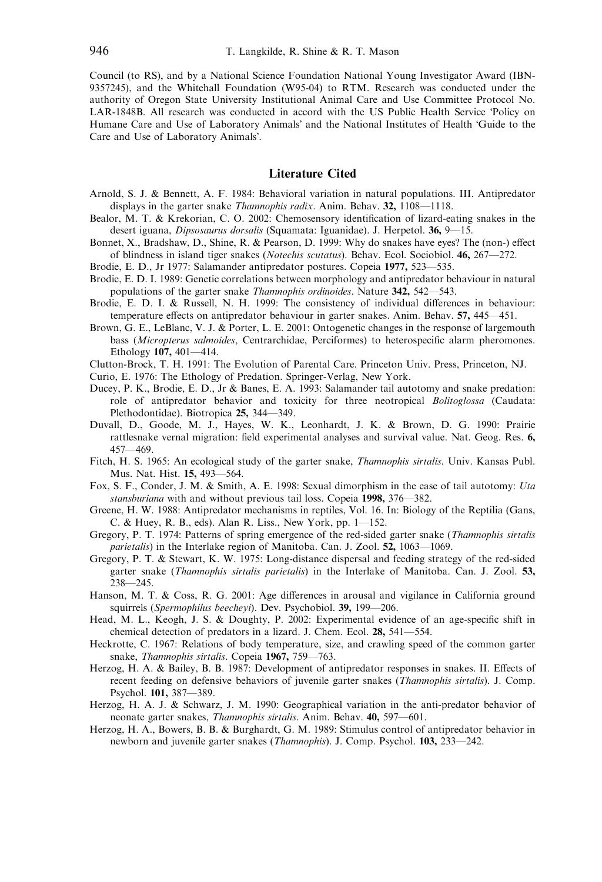Council (to RS), and by a National Science Foundation National Young Investigator Award (IBN-9357245), and the Whitehall Foundation (W95-04) to RTM. Research was conducted under the authority of Oregon State University Institutional Animal Care and Use Committee Protocol No. LAR-1848B. All research was conducted in accord with the US Public Health Service 'Policy on Humane Care and Use of Laboratory Animals' and the National Institutes of Health 'Guide to the Care and Use of Laboratory Animals.

#### Literature Cited

- Arnold, S. J. & Bennett, A. F. 1984: Behavioral variation in natural populations. III. Antipredator displays in the garter snake *Thamnophis radix*. Anim. Behav. 32, 1108—1118.
- Bealor, M. T. & Krekorian, C. O. 2002: Chemosensory identification of lizard-eating snakes in the desert iguana, Dipsosaurus dorsalis (Squamata: Iguanidae). J. Herpetol. 36, 9-15.
- Bonnet, X., Bradshaw, D., Shine, R. & Pearson, D. 1999: Why do snakes have eyes? The (non-) effect of blindness in island tiger snakes (Notechis scutatus). Behav. Ecol. Sociobiol. 46, 267—272.
- Brodie, E. D., Jr 1977: Salamander antipredator postures. Copeia 1977, 523—535.
- Brodie, E. D. I. 1989: Genetic correlations between morphology and antipredator behaviour in natural populations of the garter snake *Thamnophis ordinoides*. Nature 342, 542–543.
- Brodie, E. D. I. & Russell, N. H. 1999: The consistency of individual differences in behaviour: temperature effects on antipredator behaviour in garter snakes. Anim. Behav. 57, 445—451.
- Brown, G. E., LeBlanc, V. J. & Porter, L. E. 2001: Ontogenetic changes in the response of largemouth bass (Micropterus salmoides, Centrarchidae, Perciformes) to heterospecific alarm pheromones. Ethology 107, 401—414.
- Clutton-Brock, T. H. 1991: The Evolution of Parental Care. Princeton Univ. Press, Princeton, NJ.
- Curio, E. 1976: The Ethology of Predation. Springer-Verlag, New York.
- Ducey, P. K., Brodie, E. D., Jr & Banes, E. A. 1993: Salamander tail autotomy and snake predation: role of antipredator behavior and toxicity for three neotropical *Bolitoglossa* (Caudata: Plethodontidae). Biotropica 25, 344—349.
- Duvall, D., Goode, M. J., Hayes, W. K., Leonhardt, J. K. & Brown, D. G. 1990: Prairie rattlesnake vernal migration: field experimental analyses and survival value. Nat. Geog. Res. 6, 457—469.
- Fitch, H. S. 1965: An ecological study of the garter snake, *Thamnophis sirtalis*. Univ. Kansas Publ. Mus. Nat. Hist. 15, 493—564.
- Fox, S. F., Conder, J. M. & Smith, A. E. 1998: Sexual dimorphism in the ease of tail autotomy: Uta stansburiana with and without previous tail loss. Copeia 1998, 376–382.
- Greene, H. W. 1988: Antipredator mechanisms in reptiles, Vol. 16. In: Biology of the Reptilia (Gans, C. & Huey, R. B., eds). Alan R. Liss., New York, pp. 1—152.
- Gregory, P. T. 1974: Patterns of spring emergence of the red-sided garter snake (Thamnophis sirtalis parietalis) in the Interlake region of Manitoba. Can. J. Zool. 52, 1063—1069.
- Gregory, P. T. & Stewart, K. W. 1975: Long-distance dispersal and feeding strategy of the red-sided garter snake (Thamnophis sirtalis parietalis) in the Interlake of Manitoba. Can. J. Zool. 53, 238—245.
- Hanson, M. T. & Coss, R. G. 2001: Age differences in arousal and vigilance in California ground squirrels (Spermophilus beecheyi). Dev. Psychobiol. 39, 199-206.
- Head, M. L., Keogh, J. S. & Doughty, P. 2002: Experimental evidence of an age-specific shift in chemical detection of predators in a lizard. J. Chem. Ecol. 28, 541—554.
- Heckrotte, C. 1967: Relations of body temperature, size, and crawling speed of the common garter snake, Thamnophis sirtalis. Copeia 1967, 759—763.
- Herzog, H. A. & Bailey, B. B. 1987: Development of antipredator responses in snakes. II. Effects of recent feeding on defensive behaviors of juvenile garter snakes (Thamnophis sirtalis). J. Comp. Psychol. 101, 387—389.
- Herzog, H. A. J. & Schwarz, J. M. 1990: Geographical variation in the anti-predator behavior of neonate garter snakes, Thamnophis sirtalis. Anim. Behav. 40, 597—601.
- Herzog, H. A., Bowers, B. B. & Burghardt, G. M. 1989: Stimulus control of antipredator behavior in newborn and juvenile garter snakes (Thamnophis). J. Comp. Psychol. 103, 233—242.